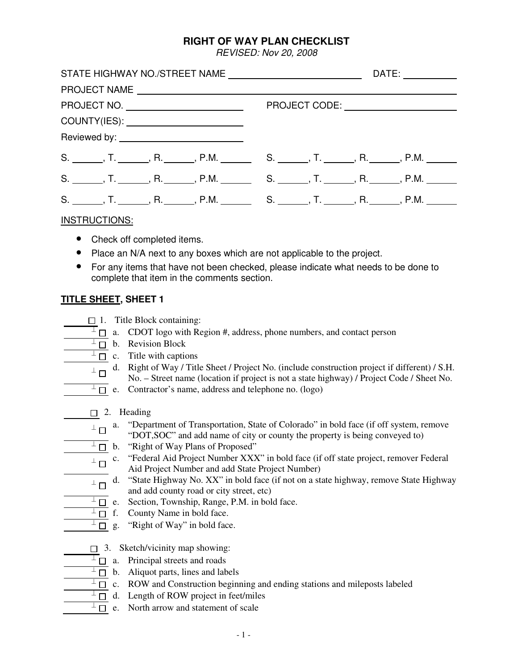#### **RIGHT OF WAY PLAN CHECKLIST**

REVISED: Nov 20, 2008

|                                        | DATE: ____________                                                                                       |
|----------------------------------------|----------------------------------------------------------------------------------------------------------|
|                                        |                                                                                                          |
|                                        |                                                                                                          |
| COUNTY(IES): _________________________ |                                                                                                          |
|                                        |                                                                                                          |
|                                        | S. _______, T. ______, R. ______, P.M. _______________________, T. ________, R. _______, P.M. _______    |
|                                        | S. _______, T. _______, R. _______, P.M. _______________________, T. ________, R. _______, P.M. ________ |
|                                        | S. _______, T. _______, R. ______, P.M. ______________________, T. ________, R. _______, P.M. _______    |

#### INSTRUCTIONS:

- Check off completed items.
- Place an N/A next to any boxes which are not applicable to the project.
- For any items that have not been checked, please indicate what needs to be done to complete that item in the comments section.

#### **TITLE SHEET, SHEET 1**

 $\Box$  1. Title Block containing:

- $\overline{I}$  a. CDOT logo with Region #, address, phone numbers, and contact person
- $\perp$  b. Revision Block
	- $\perp \Box$  c. Title with captions
	- d. Right of Way / Title Sheet / Project No. (include construction project if different) / S.H. No. – Street name (location if project is not a state highway) / Project Code / Sheet No.
		- $\overline{\perp}$  e. Contractor's name, address and telephone no. (logo)
		- $\Box$  2. Heading
	- $\perp$  a. "Department of Transportation, State of Colorado" in bold face (if off system, remove<br>"DOT SOC" and add name of situate system the preparty is being conveyed to "DOT,SOC" and add name of city or county the property is being conveyed to)
	- $\overline{\perp}_{\square}$  b. "Right of Way Plans of Proposed"
	- $\perp$  C. "Federal Aid Project Number XXX" in bold face (if off state project, remover Federal Aid Project Number and add State Project Number)
	- $\perp$  d. "State Highway No. XX" in bold face (if not on a state highway, remove State Highway and add county road or city street, etc)
		- $\overline{\perp}_{\square}$  e. Section, Township, Range, P.M. in bold face.
	- $\perp \Box$  f. County Name in bold face.
- $\overline{\perp}$  g. "Right of Way" in bold face.
- $\Box$  3. Sketch/vicinity map showing:
	- $\perp \Box$  a. Principal streets and roads
	- $\overline{\perp}$  b. Aliquot parts, lines and labels
	- $\perp \Box$  c. ROW and Construction beginning and ending stations and mileposts labeled
	- $\overline{\perp}$  d. Length of ROW project in feet/miles
	- $\overline{\Box}$  e. North arrow and statement of scale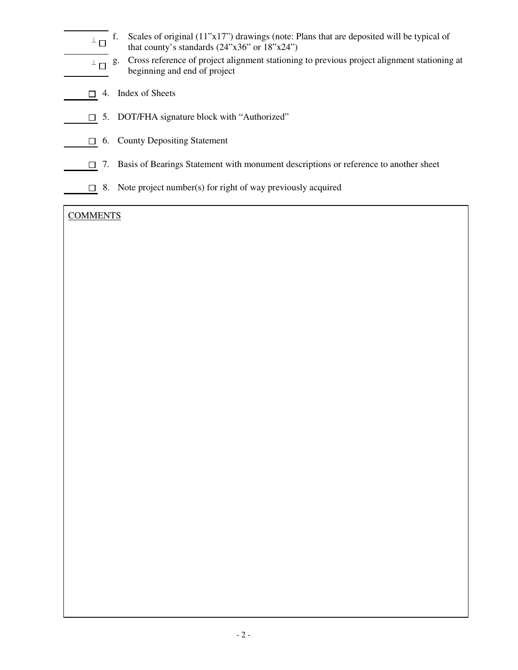- $^{\perp} \Box$ f. Scales of original (11"x17") drawings (note: Plans that are deposited will be typical of that county's standards  $(24"x36"$  or  $18"x24"$ )
- $\perp \Box$  g. g. Cross reference of project alignment stationing to previous project alignment stationing at beginning and end of project
- $\Box$  4. Index of Sheets
- □ 5. DOT/FHA signature block with "Authorized"
- $\Box$  6. County Depositing Statement
	- $\Box$  7. Basis of Bearings Statement with monument descriptions or reference to another sheet
	- $\Box$  8. Note project number(s) for right of way previously acquired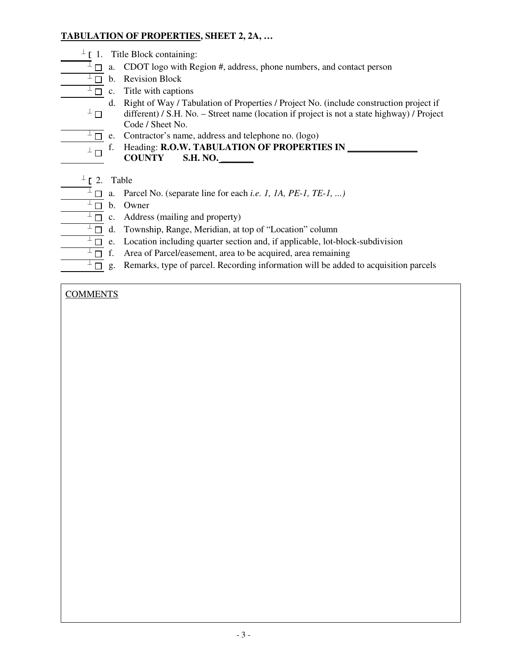### **TABULATION OF PROPERTIES, SHEET 2, 2A, …**

- $\perp$  [ 1. Title Block containing:
	- $\overline{A}$   $\Box$  a. CDOT logo with Region #, address, phone numbers, and contact person
	- $\overline{I}$  b. Revision Block
	- $\overline{I}$  c. Title with captions
	- $^{\perp}$   $\Box$ d. Right of Way / Tabulation of Properties / Project No. (include construction project if different) / S.H. No. – Street name (location if project is not a state highway) / Project Code / Sheet No.
	- $\overline{L}$  e. Contractor's name, address and telephone no. (logo)
- $\perp$  f. Heading: **R.O.W. TABULATION OF PROPERTIES IN COUNTY S.H. NO. \_\_\_\_\_\_\_**
	- $\perp$  [ 2. Table
	- $\overline{\perp}$   $\Box$  a. Parcel No. (separate line for each *i.e. 1, 1A, PE-1, TE-1, ...)*
	- $\overline{\perp}$  b. Owner
	- $\perp$   $\Box$  c. Address (mailing and property)
	- $\overline{a}$  d. Township, Range, Meridian, at top of "Location" column
	- $\overline{a^{\perp}}$  e. Location including quarter section and, if applicable, lot-block-subdivision
	- $\perp \Box$  f. Area of Parcel/easement, area to be acquired, area remaining
	- $\overline{I}$  g. Remarks, type of parcel. Recording information will be added to acquisition parcels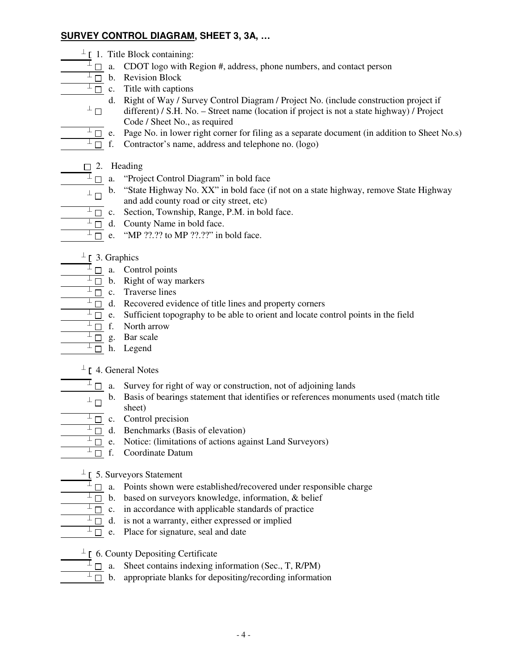### **SURVEY CONTROL DIAGRAM, SHEET 3, 3A, …**

- $\perp$  [ 1. Title Block containing:
	- $\overline{A}$   $\Box$  a. CDOT logo with Region #, address, phone numbers, and contact person
	- $\overline{1\Box}$  b. Revision Block
	- $\overline{I}$  c. Title with captions
	- $^{\perp}$   $\Box$ d. Right of Way / Survey Control Diagram / Project No. (include construction project if different) / S.H. No. – Street name (location if project is not a state highway) / Project Code / Sheet No., as required
	- $\perp$   $\Box$  e. Page No. in lower right corner for filing as a separate document (in addition to Sheet No.s)
	- $\perp \Box$  f. Contractor's name, address and telephone no. (logo)
	- $\Box$  2. Heading
	- $\overline{A}$   $\Box$  a. "Project Control Diagram" in bold face
- $\perp$  b. "State Highway No. XX" in bold face (if not on a state highway, remove State Highway and add county road or city street, etc)
	- $\overline{I}$  c. Section, Township, Range, P.M. in bold face.
	- $\overline{\perp}$  d. County Name in bold face.
	- $\overline{\perp}$  e. "MP ??.?? to MP ??.??" in bold face.
	- $\perp$  [ 3. Graphics
		- $\overline{\perp}$   $\Box$  a. Control points
		- $\overline{I}$  b. Right of way markers
		- $\overline{I}$  c. Traverse lines
	- $\overline{I}$  d. Recovered evidence of title lines and property corners
	- $\perp$   $\Box$  e. Sufficient topography to be able to orient and locate control points in the field
	- $\perp \Box$  f. North arrow
	- $^{\perp}$   $\Box$  g. Bar scale
	- $\perp$  n. Legend
	- $\perp$  [ 4. General Notes
		- $\overline{A}$   $\Box$  a. Survey for right of way or construction, not of adjoining lands
- $\perp$   $\Box$  b. Basis of bearings statement that identifies or references monuments used (match title chapt) sheet)
	- $\overline{\perp}$   $\Box$  c. Control precision
		- $\overline{a}$  d. Benchmarks (Basis of elevation)
		- $\overline{L}$  e. Notice: (limitations of actions against Land Surveyors)
		- $\overline{I}$  f. Coordinate Datum
	- $\perp$  [ 5. Surveyors Statement
		- $\overline{A}$   $\Box$  a. Points shown were established/recovered under responsible charge
		- $\perp \Box$  b. based on surveyors knowledge, information, & belief
		- $\perp$   $\Box$  c. in accordance with applicable standards of practice
	- $\perp^{\perp} \Box$  d. is not a warranty, either expressed or implied
	- $\overline{\Box}$  e. Place for signature, seal and date
	- $\perp$  [ 6. County Depositing Certificate
- $\overline{\Box}$  a. Sheet contains indexing information (Sec., T, R/PM)
	- $\overline{\perp}_{\square}$  b. appropriate blanks for depositing/recording information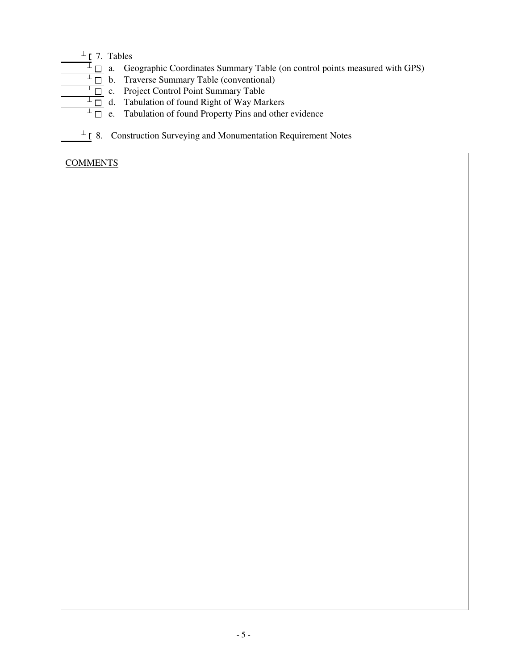# $^{\perp}$  [ 7. Tables

- $\Box$  a. Geographic Coordinates Summary Table (on control points measured with GPS)
- $\overline{\perp}$  b. Traverse Summary Table (conventional)
- $\overline{\perp}_{\square}$  c. Project Control Point Summary Table
	- $\overline{\perp}_{\square}$  d. Tabulation of found Right of Way Markers
	- $\overline{\perp}$  =  $\overline{\perp}$  e. Tabulation of found Property Pins and other evidence
	- $\perp$  [ 8. Construction Surveying and Monumentation Requirement Notes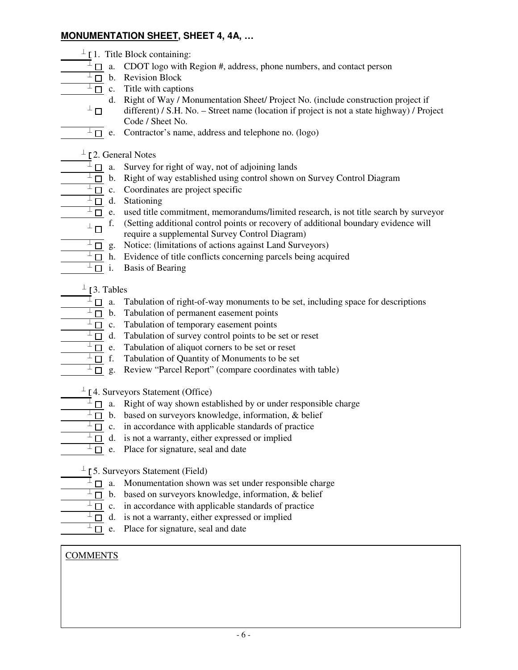## **MONUMENTATION SHEET, SHEET 4, 4A, …**

- $\perp$  [1. Title Block containing:
	- $\overline{A}$   $\Box$  a. CDOT logo with Region #, address, phone numbers, and contact person
	- $\overline{I}$  b. Revision Block
	- $\overline{I_{\square}}$  c. Title with captions
	- $\bot$   $\Box$ d. Right of Way / Monumentation Sheet/ Project No. (include construction project if different) / S.H. No. – Street name (location if project is not a state highway) / Project Code / Sheet No.
	- $\overline{L}$  e. Contractor's name, address and telephone no. (logo)
	- $^{\perp}$  [2. General Notes
		- $\overline{A}$   $\Box$  a. Survey for right of way, not of adjoining lands
		- $\overline{L}$  b. Right of way established using control shown on Survey Control Diagram
		- $\overline{I}$  c. Coordinates are project specific
		- $\overline{\perp}$  d. Stationing
		- $\perp \Box$  e. used title commitment, memorandums/limited research, is not title search by surveyor
		- $\perp \Box$  f. f. (Setting additional control points or recovery of additional boundary evidence will require a supplemental Survey Control Diagram)
		- $\overline{\perp}_{\square}$  g. Notice: (limitations of actions against Land Surveyors)
		- $\overline{L}$  h. Evidence of title conflicts concerning parcels being acquired
		- $\perp \Box$  i. Basis of Bearing
	- $^{\perp}$  [3. Tables
	- $\overline{A}$   $\Box$  a. Tabulation of right-of-way monuments to be set, including space for descriptions
	- $\overline{a}$  b. Tabulation of permanent easement points
	- $\perp^{\perp}$   $\Box$  c. Tabulation of temporary easement points
	- $\perp$   $\Box$  d. Tabulation of survey control points to be set or reset
	- $\perp^{\perp}$   $\Box$  e. Tabulation of aliquot corners to be set or reset
	- $\overline{\perp}$  f. Tabulation of Quantity of Monuments to be set
	- $\overline{\perp}_{\square}$  g. Review "Parcel Report" (compare coordinates with table)
- $\perp$  [4. Surveyors Statement (Office)
	- $\overline{I}$   $\Box$  a. Right of way shown established by or under responsible charge
	- $\perp \Box$  b. based on surveyors knowledge, information, & belief
	- $\perp$   $\Box$  c. in accordance with applicable standards of practice
	- $\perp$   $\Box$  d. is not a warranty, either expressed or implied
- $\overline{\Box}$  e. Place for signature, seal and date
- $\perp$  [5. Surveyors Statement (Field)
- $\overline{\Box}$  a. Monumentation shown was set under responsible charge
- $\overline{\perp}$  b. based on surveyors knowledge, information, & belief
- $\perp \Box$  c. in accordance with applicable standards of practice
- $\overline{a}$  d. is not a warranty, either expressed or implied
- $\overline{\perp}$  e. Place for signature, seal and date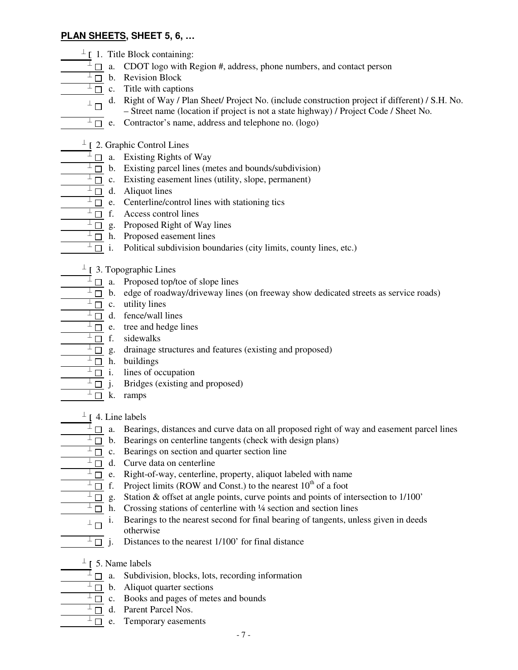#### **PLAN SHEETS, SHEET 5, 6, …**

- $\perp$  [ 1. Title Block containing:
	- $\overline{A}$   $\Box$  a. CDOT logo with Region #, address, phone numbers, and contact person
	- $\overline{I}$  b. Revision Block
	- $\overline{\perp}$  c. Title with captions
- d. Right of Way / Plan Sheet/ Project No. (include construction project if different) / S.H. No.
	- Street name (location if project is not a state highway) / Project Code / Sheet No.
	- $\overline{L}$  e. Contractor's name, address and telephone no. (logo)
	- $\perp$  [ 2. Graphic Control Lines
	- $\overline{\perp}$   $\Box$  a. Existing Rights of Way
	- $\overline{\perp}$  b. Existing parcel lines (metes and bounds/subdivision)
	- $\perp$   $\Box$  c. Existing easement lines (utility, slope, permanent)
	- $\perp \Box$  d. Aliquot lines
	- $\overline{\perp}$  e. Centerline/control lines with stationing tics
	- $\overline{\perp}$  f. Access control lines
	- $\overline{\perp}_{\square}$  g. Proposed Right of Way lines
	- $\perp \Box$  h. Proposed easement lines
		- $\overline{I}$  i. Political subdivision boundaries (city limits, county lines, etc.)
		- $\perp$  [ 3. Topographic Lines
		- $\overline{\perp}$   $\Box$  a. Proposed top/toe of slope lines
		- $\perp$   $\Box$  b. edge of roadway/driveway lines (on freeway show dedicated streets as service roads)
		- $\overline{\perp}$  c. utility lines
		- $\perp$   $\Box$  d. fence/wall lines
		- $\perp \Box$  e. tree and hedge lines
		- $\frac{\perp \Box}{\perp \Box}$  f. sidewalks
			- drainage structures and features (existing and proposed)
	- $\frac{\perp \Box}{\perp \Box}$  h. buildings
	- $\frac{\boxed{+}}{+}$   $\frac{\boxed{+}}{+}$  i. lines of occupation  $\frac{+}{+}$  i. Bridges (existing an
		- Bridges (existing and proposed)
	- $\overline{\perp}$  k. ramps
	- $^{\perp}$  [ 4. Line labels
	- $\Box$  a. Bearings, distances and curve data on all proposed right of way and easement parcel lines
	- $\overline{\perp}$  b. Bearings on centerline tangents (check with design plans)
	- $\overline{\perp}$  c. Bearings on section and quarter section line
	- $\overline{\perp}$  d. Curve data on centerline
	- $\overline{\perp}$  e. Right-of-way, centerline, property, aliquot labeled with name
- $\overline{a}$  f. Project limits (ROW and Const.) to the nearest 10<sup>th</sup> of a foot
	- $\frac{1}{\pm}$  g. Station & offset at angle points, curve points and points of intersection to 1/100'<br> $\frac{1}{\pm}$  h. Crossing stations of centerline with <sup>1</sup>/4 section and section lines
		- Crossing stations of centerline with ¼ section and section lines
	- $^{\perp}$   $\Box$   $^{\,$  i. Bearings to the nearest second for final bearing of tangents, unless given in deeds otherwise
	- $\overline{I}$  i. Distances to the nearest 1/100' for final distance
	- $\perp$  [ 5. Name labels
	- $\overline{\perp}$  a. Subdivision, blocks, lots, recording information
	- $\overline{\perp}$  b. Aliquot quarter sections
	- $\perp \Box$  c. Books and pages of metes and bounds
	- $\overline{\perp}$  d. Parent Parcel Nos.
	- $\overline{I}$  e. Temporary easements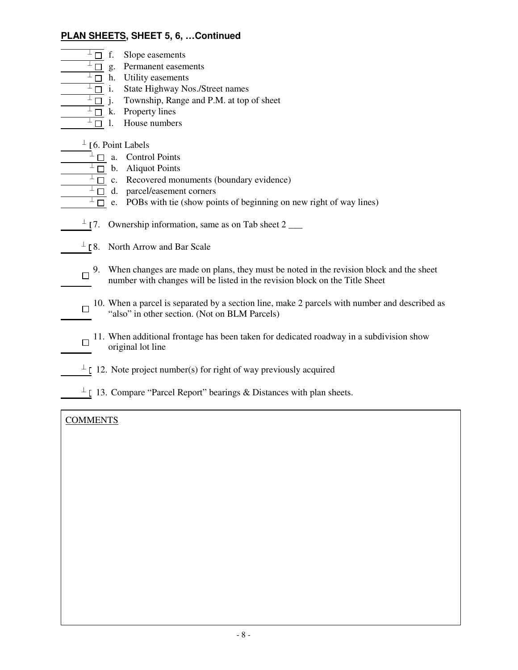## **PLAN SHEETS, SHEET 5, 6, …Continued**

- $\perp \Box$  f. Slope easements
- $\overline{\perp}_{\square}$  g. Permanent easements
- $\overline{I}$  h. Utility easements
- $\overline{I}$  i. State Highway Nos./Street names
- $\overline{\perp}_{\square}$  j. Township, Range and P.M. at top of sheet
- $\frac{\perp \Box}{\perp \Box}$  k. Property lines
- House numbers

 $\perp$  [6. Point Labels]

- $\overline{a}$   $\Box$  a. Control Points
- $\overline{\perp}$  b. Aliquot Points
- $\overline{\perp}$  c. Recovered monuments (boundary evidence)
- $\perp$   $\Box$  d. parcel/easement corners
- $\overline{L}$  e. POBs with tie (show points of beginning on new right of way lines)
- $\perp$  [7. Ownership information, same as on Tab sheet 2 \_\_\_\_
- $\perp$  [8. North Arrow and Bar Scale
- 9. When changes are made on plans, they must be noted in the revision block and the sheet number with changes will be listed in the revision block on the Title Sheet
- $\Box$  10. When a parcel is separated by a section line, make 2 parcels with number and described as "also" in other section. (Not on BLM Parcels)
- 11. When additional frontage has been taken for dedicated roadway in a subdivision show original lot line
- $\perp$  [ 12. Note project number(s) for right of way previously acquired
- $\perp$  [ 13. Compare "Parcel Report" bearings & Distances with plan sheets.